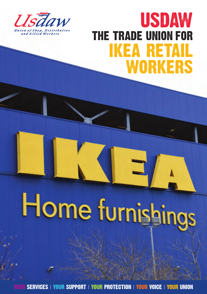

## USDAW **ikea ret** workers THE TRADE UNION FOR

# Home furnishings

YOUR SERVICES **|** YOUR SUPPORT **|** YOUR PROTECTION **|** YOUR VOICE **|** YOUR UNION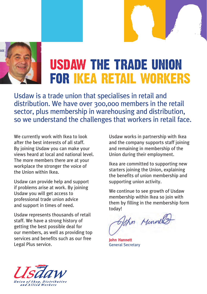

## usdaw the trade union for ikea retail workers

Usdaw is a trade union that specialises in retail and distribution. We have over 300,000 members in the retail sector, plus membership in warehousing and distribution, so we understand the challenges that workers in retail face.

We currently work with Ikea to look after the best interests of all staff. By joining Usdaw you can make your views heard at local and national level. The more members there are at your workplace the stronger the voice of the Union within Ikea.

Usdaw can provide help and support if problems arise at work. By joining Usdaw you will get access to professional trade union advice and support in times of need.

Usdaw represents thousands of retail staff. We have a strong history of getting the best possible deal for our members, as well as providing top services and benefits such as our free Legal Plus service.

Usdaw works in partnership with Ikea and the company supports staff joining and remaining in membership of the Union during their employment.

Ikea are committed to supporting new starters joining the Union, explaining the benefits of union membership and supporting union activity.

We continue to see growth of Usdaw membership within Ikea so join with them by filling in the membership form today!

The Monde

**John Hannett** General Secretary

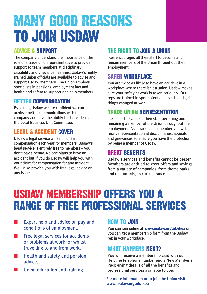## MANY GOOD REASONS TO JOIN USDAW

#### ADVICE & SUPPORT

The company understand the importance of the role of a trade union representative to provide support to team members at disciplinary, capability and grievance hearings. Usdaw's highly trained union officials are available to advise and support Usdaw members. The Union employs specialists in pensions, employment law and health and safety to support and help members.

#### BETTER COMMUNICATION

By joining Usdaw we are confident we can achieve better communications with the company and have the ability to share ideas at the Local Business Unit Committee.

#### LEGAL & ACCIDENT COVER

Usdaw's legal service wins millions in compensation each year for members. Usdaw's legal service is entirely free to members – you don't pay a penny. No one plans to have an accident but if you do Usdaw will help you with your claim for compensation for any accident. We'll also provide you with free legal advice on any issue.

#### THE RIGHT TO JOIN A UNION

Ikea encourages all their staff to become and remain members of the Union throughout their employment.

#### SAFER WORKPLACE

You are twice as likely to have an accident in a workplace where there isn't a union. Usdaw makes sure your safety at work is taken seriously. Our reps are trained to spot potential hazards and get things changed at work.

#### TRADE UNION REPRESENTATION

Ikea sees the value in their staff becoming and remaining a member of the Union throughout their employment. As a trade union member you will receive representation at disciplinaries, appeals and grievances so ensure you have the protection by being a member of Usdaw.

#### GREAT BENEFITS

Usdaw's services and benefits cannot be beaten! Members are entitled to great offers and savings from a variety of companies, from theme parks and restaurants, to car insurance.

### USDAW MEMBERSHIP OFFERS YOU A RANGE OF FREE PROFESSIONAL SERVICES

- $\blacksquare$  Expert help and advice on pay and conditions of employment.
- $\blacksquare$  Free legal services for accidents or problems at work, or whilst travelling to and from work.
- Health and safety and pension advice.
- Union education and training.

#### HOW TO JOIN

You can join online at **www.usdaw.org.uk/ikea** or you can get a membership form from the Usdaw rep in your workplace.

#### WHAT HAPPFNS NFXT?

You will receive a membership card with our Helpline telephone number and a New Member's Pack giving details of all the benefits and professional services available to you.

For more information or to join the Union visit **www.usdaw.org.uk/ikea**